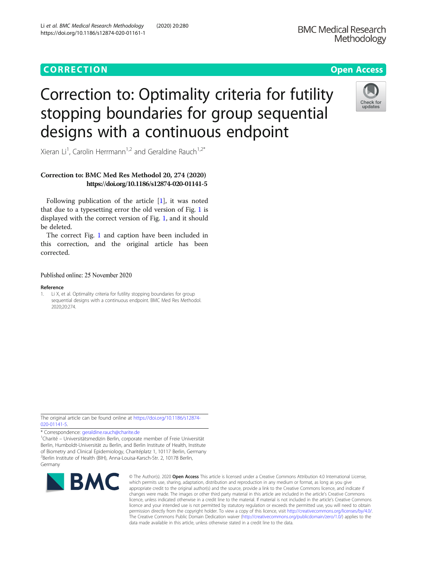## CORR EC TION Open [Access](http://crossmark.crossref.org/dialog/?doi=10.1186/s12874-020-01161-1&domain=pdf)



# Correction to: Optimality criteria for futility stopping boundaries for group sequential designs with a continuous endpoint

Xieran Li<sup>1</sup>, Carolin Herrmann<sup>1,2</sup> and Geraldine Rauch<sup>1,2\*</sup>

### Correction to: BMC Med Res Methodol 20, 274 (2020) https://doi.org/10.1186/s12874-020-01141-5

Following publication of the article [1], it was noted that due to a typesetting error the old version of Fig. [1](#page-1-0) is displayed with the correct version of Fig. [1](#page-1-0), and it should be deleted.

The correct Fig. [1](#page-1-0) and caption have been included in this correction, and the original article has been corrected.

#### Published online: 25 November 2020

#### Reference

1. Li X, et al. Optimality criteria for futility stopping boundaries for group sequential designs with a continuous endpoint. BMC Med Res Methodol. 2020;20:274.

The original article can be found online at [https://doi.org/10.1186/s12874-](https://doi.org/10.1186/s12874-020-01141-5) [020-01141-5](https://doi.org/10.1186/s12874-020-01141-5).

\* Correspondence: [geraldine.rauch@charite.de](mailto:geraldine.rauch@charite.de) <sup>1</sup>

<sup>1</sup>Charité – Universitätsmedizin Berlin, corporate member of Freie Universität Berlin, Humboldt-Universität zu Berlin, and Berlin Institute of Health, Institute of Biometry and Clinical Epidemiology, Charitéplatz 1, 10117 Berlin, Germany 2 Berlin Institute of Health (BIH), Anna-Louisa-Karsch-Str. 2, 10178 Berlin, Germany



© The Author(s). 2020 Open Access This article is licensed under a Creative Commons Attribution 4.0 International License, which permits use, sharing, adaptation, distribution and reproduction in any medium or format, as long as you give appropriate credit to the original author(s) and the source, provide a link to the Creative Commons licence, and indicate if changes were made. The images or other third party material in this article are included in the article's Creative Commons licence, unless indicated otherwise in a credit line to the material. If material is not included in the article's Creative Commons licence and your intended use is not permitted by statutory regulation or exceeds the permitted use, you will need to obtain permission directly from the copyright holder. To view a copy of this licence, visit [http://creativecommons.org/licenses/by/4.0/.](http://creativecommons.org/licenses/by/4.0/) The Creative Commons Public Domain Dedication waiver [\(http://creativecommons.org/publicdomain/zero/1.0/](http://creativecommons.org/publicdomain/zero/1.0/)) applies to the data made available in this article, unless otherwise stated in a credit line to the data.